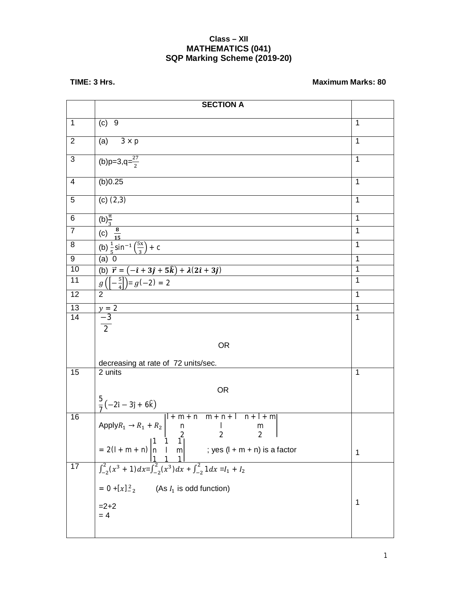## **Class – XII MATHEMATICS (041) SQP Marking Scheme (2019-20)**

## **TIME: 3 Hrs.** Maximum Marks: 80

|                          | <b>SECTION A</b>                                                                                                                                                                                                                                                     |                |
|--------------------------|----------------------------------------------------------------------------------------------------------------------------------------------------------------------------------------------------------------------------------------------------------------------|----------------|
| $\mathbf{1}$             | $(c)$ 9                                                                                                                                                                                                                                                              | $\mathbf{1}$   |
| $\overline{2}$           | (a) $3 \times p$                                                                                                                                                                                                                                                     | 1              |
| $\overline{3}$           | (b)p=3,q= $\frac{27}{2}$                                                                                                                                                                                                                                             | $\overline{1}$ |
| $\overline{\mathcal{A}}$ | (b)0.25                                                                                                                                                                                                                                                              | $\mathbf{1}$   |
| 5                        | $(c)$ $(2,3)$                                                                                                                                                                                                                                                        | $\mathbf{1}$   |
| 6                        | $(b)$ <sup><math>\frac{\pi}{3}</math></sup>                                                                                                                                                                                                                          | $\overline{1}$ |
| $\overline{7}$           | (c) $\frac{8}{15}$                                                                                                                                                                                                                                                   | $\mathbf{1}$   |
| 8                        | (b) $\frac{1}{5}$ sin <sup>-1</sup> $\left(\frac{5x}{3}\right)$ + c                                                                                                                                                                                                  | $\mathbf{1}$   |
| 9                        | (a) 0                                                                                                                                                                                                                                                                | $\overline{1}$ |
| 10                       | (b) $\vec{r} = (-\hat{i} + 3\hat{j} + 5\hat{k}) + \lambda(2\hat{i} + 3\hat{j})$                                                                                                                                                                                      | $\overline{1}$ |
| $\overline{11}$          | $g\left(\left[-\frac{5}{4}\right]\right) = g(-2) = 2$                                                                                                                                                                                                                | $\overline{1}$ |
| 12                       | $\overline{2}$                                                                                                                                                                                                                                                       | $\overline{1}$ |
| 13                       | $\frac{y=2}{-3}$                                                                                                                                                                                                                                                     | $\overline{1}$ |
| $\overline{14}$          | $\frac{6}{2}$                                                                                                                                                                                                                                                        | $\overline{1}$ |
|                          |                                                                                                                                                                                                                                                                      |                |
|                          | <b>OR</b>                                                                                                                                                                                                                                                            |                |
|                          | decreasing at rate of 72 units/sec.                                                                                                                                                                                                                                  |                |
| 15                       | 2 units                                                                                                                                                                                                                                                              | $\mathbf{1}$   |
|                          | <b>OR</b>                                                                                                                                                                                                                                                            |                |
|                          |                                                                                                                                                                                                                                                                      |                |
| 16                       | $\frac{5}{7}(-2\hat{i} - 3\hat{j} + 6\hat{k})$<br>Apply $R_1 \rightarrow R_1 + R_2$<br>$ l + m + n $<br>$m + n + l$<br>$n + 1 + m$<br>$\sf n$<br>m<br>$2 \t 2$<br>$\overline{2}$ 1                                                                                   |                |
|                          | $= 2(l+m+n)\begin{vmatrix} 1 & 1 & 2 & 2 & 2 & 1 \\ n & 1 & 1 & 1 & 2 & 2 & 2 \\ 1 & 1 & 1 & 1 & 2 & 2 \\ 1 & 1 & 1 & 1 & 2 & 2 \end{vmatrix}$ : yes $(l+m+n)$ is a factor<br>$\int_{-2}^{2} (x^3 + 1) dx = \int_{-2}^{2} (x^3) dx + \int_{-2}^{2} 1 dx = I_1 + I_2$ | $\mathbf 1$    |
| $\overline{17}$          |                                                                                                                                                                                                                                                                      |                |
|                          |                                                                                                                                                                                                                                                                      |                |
|                          | $= 0 + [x]_{-2}^{2}$ (As $I_1$ is odd function)<br>=2+2<br>= 4                                                                                                                                                                                                       | 1              |
|                          |                                                                                                                                                                                                                                                                      |                |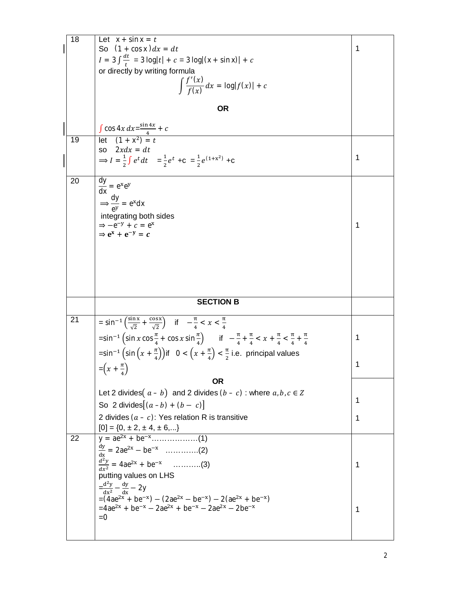| 18 | Let $x + \sin x = t$<br>So $(1 + \cos x)dx = dt$                                                                                                                       | 1 |
|----|------------------------------------------------------------------------------------------------------------------------------------------------------------------------|---|
|    | $I = 3 \int \frac{dt}{t} = 3 \log t  + c = 3 \log (x + \sin x)  + c$                                                                                                   |   |
|    | or directly by writing formula                                                                                                                                         |   |
|    | $\int \frac{f'(x)}{f(x)} dx = \log f(x)  + c$                                                                                                                          |   |
|    |                                                                                                                                                                        |   |
|    | ΟR                                                                                                                                                                     |   |
|    | $\frac{\int \cos 4x \, dx = \frac{\sin 4x}{4} + c}{\int \left[ \frac{1}{1 + x^2} \right] = t}$                                                                         |   |
| 19 |                                                                                                                                                                        |   |
|    | so $2xdx = dt$<br>$\Rightarrow I = \frac{1}{2} \int e^t dt = \frac{1}{2} e^t + C = \frac{1}{2} e^{(1+x^2)} + C$                                                        | 1 |
|    |                                                                                                                                                                        |   |
| 20 | $\frac{dy}{dx} = e^{x}e^{y}$                                                                                                                                           |   |
|    |                                                                                                                                                                        |   |
|    | $\Rightarrow \frac{dy}{dy} = e^{x}dx$                                                                                                                                  |   |
|    | integrating both sides<br>$\Rightarrow -e^{-y} + c = e^{x}$                                                                                                            | 1 |
|    | $\Rightarrow$ $e^{x} + e^{-y} = c$                                                                                                                                     |   |
|    |                                                                                                                                                                        |   |
|    |                                                                                                                                                                        |   |
|    |                                                                                                                                                                        |   |
|    |                                                                                                                                                                        |   |
|    |                                                                                                                                                                        |   |
|    |                                                                                                                                                                        |   |
|    | <b>SECTION B</b>                                                                                                                                                       |   |
| 21 | $= \sin^{-1} \left( \frac{\sin x}{\sqrt{2}} + \frac{\cos x}{\sqrt{2}} \right)$ if $-\frac{\pi}{4} < x < \frac{\pi}{4}$                                                 |   |
|    | $=\sin^{-1}\left(\sin x \cos \frac{\pi}{4} + \cos x \sin \frac{\pi}{4}\right)$ if $-\frac{\pi}{4} + \frac{\pi}{4} < x + \frac{\pi}{4} < \frac{\pi}{4} + \frac{\pi}{4}$ | 1 |
|    | $=\sin^{-1}\left(\sin\left(x+\frac{\pi}{4}\right)\right)$ if $0<\left(x+\frac{\pi}{4}\right)<\frac{\pi}{2}$ i.e. principal values                                      |   |
|    |                                                                                                                                                                        | 1 |
|    | $=\left(x+\frac{\pi}{4}\right)$<br><b>OR</b>                                                                                                                           |   |
|    | Let 2 divides $(a - b)$ and 2 divides $(b - c)$ : where $a, b, c \in \mathbb{Z}$                                                                                       |   |
|    | So 2 divides $[(a-b) + (b - c)]$                                                                                                                                       | 1 |
|    | 2 divides $(a - c)$ : Yes relation R is transitive                                                                                                                     | 1 |
|    |                                                                                                                                                                        |   |
| 22 |                                                                                                                                                                        |   |
|    | $\frac{dy}{dx}$ = 2ae <sup>2x</sup> – be <sup>-x</sup> ……………(2)                                                                                                        |   |
|    | $rac{d^2y}{dx^2}$ = 4ae <sup>2x</sup> + be <sup>-x</sup> (3)                                                                                                           | 1 |
|    | putting values on LHS                                                                                                                                                  |   |
|    | $=\frac{d^2y}{dx^2} - \frac{dy}{dx} - 2y$                                                                                                                              |   |
|    | $=(4ae^{2x} + be^{-x}) - (2ae^{2x} - be^{-x}) - 2(ae^{2x} + be^{-x})$<br>$=4ae^{2x} + be^{-x} - 2ae^{2x} + be^{-x} - 2ae^{2x} - 2be^{-x}$                              | 1 |
|    | $=0$                                                                                                                                                                   |   |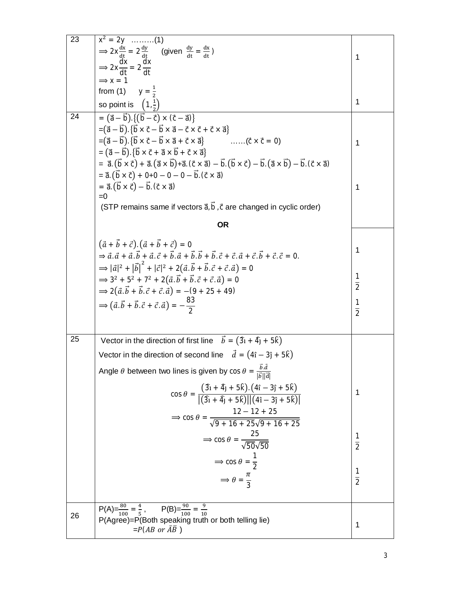| 23 | $x^2 = 2y$ (1)                                                                                                                                                                                                                                          |                |
|----|---------------------------------------------------------------------------------------------------------------------------------------------------------------------------------------------------------------------------------------------------------|----------------|
|    | $\Rightarrow$ 2x $\frac{dx}{dt} = 2\frac{dy}{dt}$ (given $\frac{dy}{dt} = \frac{dx}{dt}$ )                                                                                                                                                              |                |
|    | $\Rightarrow$ 2x $\frac{dx}{dt} = 2\frac{dx}{dt}$                                                                                                                                                                                                       | 1              |
|    | $\Rightarrow$ x = 1                                                                                                                                                                                                                                     |                |
|    | from (1) $y = \frac{1}{2}$                                                                                                                                                                                                                              |                |
|    | so point is $\left(1,\frac{1}{2}\right)$                                                                                                                                                                                                                | $\mathbf{1}$   |
| 24 | $= (\vec{a} - \vec{b}).((\vec{b} - \vec{c}) \times (\vec{c} - \vec{a}))$                                                                                                                                                                                |                |
|    | $= (\vec{a} - \vec{b}). {\vec{b} \times \vec{c} - \vec{b} \times \vec{a} - \vec{c} \times \vec{c} + \vec{c} \times \vec{a}}$                                                                                                                            |                |
|    | $= (\vec{a} - \vec{b}). {\vec{b} \times \vec{c} - \vec{b} \times \vec{a} + \vec{c} \times \vec{a}}$ ( $\vec{c} \times \vec{c} = 0$ )                                                                                                                    | $\mathbf{1}$   |
|    | $= (\vec{a} - \vec{b}). \{\vec{b} \times \vec{c} + \vec{a} \times \vec{b} + \vec{c} \times \vec{a}\}\$                                                                                                                                                  |                |
|    | = $\vec{a} \cdot (\vec{b} \times \vec{c}) + \vec{a} \cdot (\vec{a} \times \vec{b}) + \vec{a} \cdot (\vec{c} \times \vec{a}) - \vec{b} \cdot (\vec{b} \times \vec{c}) - \vec{b} \cdot (\vec{a} \times \vec{b}) - \vec{b} \cdot (\vec{c} \times \vec{a})$ |                |
|    | $= \vec{a} \cdot (\vec{b} \times \vec{c}) + 0 + 0 - 0 - 0 - \vec{b} \cdot (\vec{c} \times \vec{a})$                                                                                                                                                     |                |
|    | $= \vec{a} \cdot (\vec{b} \times \vec{c}) - \vec{b} \cdot (\vec{c} \times \vec{a})$                                                                                                                                                                     | $\mathbf{1}$   |
|    | $=0$                                                                                                                                                                                                                                                    |                |
|    | (STP remains same if vectors $\vec{a}, \vec{b}, \vec{c}$ are changed in cyclic order)                                                                                                                                                                   |                |
|    | <b>OR</b>                                                                                                                                                                                                                                               |                |
|    | $(\vec{a} + \vec{b} + \vec{c}) \cdot (\vec{a} + \vec{b} + \vec{c}) = 0$                                                                                                                                                                                 |                |
|    | $\Rightarrow \vec{a} \cdot \vec{a} + \vec{a} \cdot \vec{b} + \vec{a} \cdot \vec{c} + \vec{b} \cdot \vec{a} + \vec{b} \cdot \vec{b} + \vec{b} \cdot \vec{c} + \vec{c} \cdot \vec{a} + \vec{c} \cdot \vec{b} + \vec{c} \cdot \vec{c} = 0.$                | $\mathbf{1}$   |
|    | $\Rightarrow  \vec{a} ^2 +  \vec{b} ^2 +  \vec{c} ^2 + 2(\vec{a} \cdot \vec{b} + \vec{b} \cdot \vec{c} + \vec{c} \cdot \vec{a}) = 0$                                                                                                                    |                |
|    |                                                                                                                                                                                                                                                         | 1              |
|    | $\Rightarrow$ 3 <sup>2</sup> + 5 <sup>2</sup> + 7 <sup>2</sup> + 2( $\vec{a} \cdot \vec{b}$ + $\vec{b} \cdot \vec{c}$ + $\vec{c} \cdot \vec{a}$ ) = 0                                                                                                   | $\overline{2}$ |
|    | $\Rightarrow$ 2( $\vec{a} \cdot \vec{b} + \vec{b} \cdot \vec{c} + \vec{c} \cdot \vec{a}$ ) = -(9 + 25 + 49)                                                                                                                                             |                |
|    | $\Rightarrow (\vec{a} \cdot \vec{b} + \vec{b} \cdot \vec{c} + \vec{c} \cdot \vec{a}) = -\frac{83}{2}$                                                                                                                                                   | $\frac{1}{2}$  |
|    |                                                                                                                                                                                                                                                         |                |
| 25 |                                                                                                                                                                                                                                                         |                |
|    | Vector in the direction of first line $\vec{b} = (\hat{3}i + \hat{4}j + 5\hat{k})$                                                                                                                                                                      |                |
|    | Vector in the direction of second line $\vec{d} = (4\hat{i} - 3\hat{j} + 5\hat{k})$                                                                                                                                                                     |                |
|    | Angle $\theta$ between two lines is given by $\cos \theta = \frac{b \cdot d}{ \vec{b}  \vec{a} }$                                                                                                                                                       |                |
|    |                                                                                                                                                                                                                                                         |                |
|    | $\cos \theta = \frac{(3\hat{i} + 4\hat{j} + 5\hat{k}) \cdot (4\hat{i} - 3\hat{j} + 5\hat{k})}{  (3\hat{i} + 4\hat{j} + 5\hat{k})     (4\hat{i} - 3\hat{j} + 5\hat{k})  }$                                                                               | 1              |
|    |                                                                                                                                                                                                                                                         |                |
|    | $\Rightarrow \cos \theta = \frac{12 - 12 + 25}{\sqrt{9 + 16 + 25}\sqrt{9 + 16 + 25}}$                                                                                                                                                                   |                |
|    |                                                                                                                                                                                                                                                         |                |
|    | $\Rightarrow$ cos $\theta = \frac{25}{\sqrt{50}\sqrt{50}}$                                                                                                                                                                                              | $\frac{1}{2}$  |
|    | $\Rightarrow$ cos $\theta = \frac{1}{2}$                                                                                                                                                                                                                |                |
|    |                                                                                                                                                                                                                                                         |                |
|    | $\Rightarrow \theta = \frac{\pi}{3}$                                                                                                                                                                                                                    | $\frac{1}{2}$  |
|    |                                                                                                                                                                                                                                                         |                |
|    | $\overline{P(A)} = \frac{80}{100} = \frac{4}{5}$ , $P(B) = \frac{90}{100} = \frac{9}{10}$                                                                                                                                                               |                |
| 26 | P(Agree)=P(Both speaking truth or both telling lie)                                                                                                                                                                                                     |                |
|    | $= P(AB \text{ or } \overline{AB})$                                                                                                                                                                                                                     | 1              |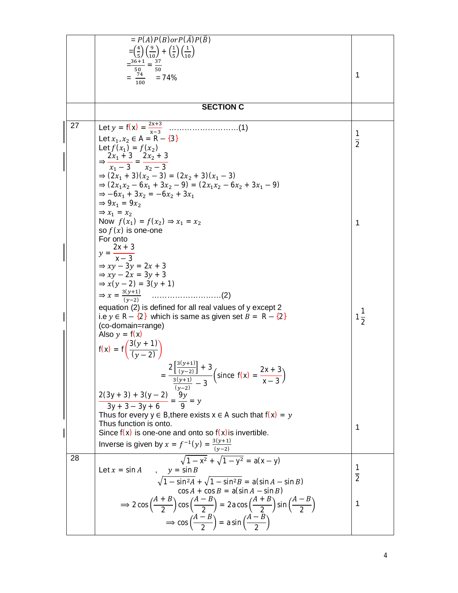|    | $= P(A)P(B)$ or $P(\overline{A})P(\overline{B})$                                                                                                         |                |
|----|----------------------------------------------------------------------------------------------------------------------------------------------------------|----------------|
|    | $=\left(\frac{4}{5}\right)\left(\frac{9}{10}\right)+\left(\frac{1}{5}\right)\left(\frac{1}{10}\right)$                                                   |                |
|    |                                                                                                                                                          |                |
|    |                                                                                                                                                          |                |
|    | $\frac{36+1}{50} = \frac{37}{50}$<br>= $\frac{74}{100}$ = 74%                                                                                            | 1              |
|    |                                                                                                                                                          |                |
|    |                                                                                                                                                          |                |
|    | <b>SECTION C</b>                                                                                                                                         |                |
|    |                                                                                                                                                          |                |
| 27 |                                                                                                                                                          |                |
|    |                                                                                                                                                          | 1              |
|    | Let $x_1, x_2 \in A = R - \{3\}$<br>Let $f(x_1) = f(x_2)$                                                                                                | $\overline{2}$ |
|    |                                                                                                                                                          |                |
|    | $\Rightarrow \frac{2x_1+3}{x_1-3} = \frac{2x_2+3}{x_2-3}$                                                                                                |                |
|    | $\Rightarrow (2x_1 + 3)(x_2 - 3) = (2x_2 + 3)(x_1 - 3)$                                                                                                  |                |
|    | $\Rightarrow (2x_1x_2 - 6x_1 + 3x_2 - 9) = (2x_1x_2 - 6x_2 + 3x_1 - 9)$                                                                                  |                |
|    | $\Rightarrow -6x_1 + 3x_2 = -6x_2 + 3x_1$                                                                                                                |                |
|    | $\Rightarrow$ 9x <sub>1</sub> = 9x <sub>2</sub>                                                                                                          |                |
|    | $\Rightarrow$ $x_1 = x_2$                                                                                                                                |                |
|    | Now $f(x_1) = f(x_2) \Rightarrow x_1 = x_2$                                                                                                              | 1              |
|    | so $f(x)$ is one-one                                                                                                                                     |                |
|    | For onto                                                                                                                                                 |                |
|    |                                                                                                                                                          |                |
|    | $y = \frac{2x+3}{x-3}$                                                                                                                                   |                |
|    | $\Rightarrow xy - 3y = 2x + 3$                                                                                                                           |                |
|    | $\Rightarrow xy - 2x = 3y + 3$                                                                                                                           |                |
|    | $\Rightarrow x(y-2) = 3(y+1)$                                                                                                                            |                |
|    | $\Rightarrow x = \frac{3(y+1)}{(y-2)}$                                                                                                                   |                |
|    | equation (2) is defined for all real values of y except 2                                                                                                |                |
|    | i.e $y \in R - \{2\}$ which is same as given set $B = R - \{2\}$                                                                                         |                |
|    | (co-domain=range)                                                                                                                                        | $\frac{1}{2}$  |
|    | Also $y = f(x)$                                                                                                                                          |                |
|    |                                                                                                                                                          |                |
|    | $f(x) = f\left(\frac{3(y + 1)}{(y - 2)}\right)$                                                                                                          |                |
|    |                                                                                                                                                          |                |
|    | $=\frac{2\left[\frac{3(y+1)}{(y-2)}\right]+3}{\frac{3(y+1)}{(x-2)}-3}\left(\text{since } f(x)=\frac{2x+3}{x-3}\right)$                                   |                |
|    |                                                                                                                                                          |                |
|    |                                                                                                                                                          |                |
|    | $\frac{2(3y+3)+3(y-2)}{3y+3-3y+6} = \frac{9y}{9} = y$                                                                                                    |                |
|    |                                                                                                                                                          |                |
|    | Thus for every $y \in B$ , there exists $x \in A$ such that $f(x) = y$                                                                                   |                |
|    | Thus function is onto.                                                                                                                                   | 1              |
|    | Since $f(x)$ is one-one and onto so $f(x)$ is invertible.                                                                                                |                |
|    | Inverse is given by $x = f^{-1}(y) = \frac{3(y+1)}{(y-2)}$                                                                                               |                |
| 28 | $\sqrt{1-x^2} + \sqrt{1-y^2} = a(x - y)$                                                                                                                 |                |
|    |                                                                                                                                                          | 1              |
|    | Let $x = \sin A$<br>$y = \sin B$                                                                                                                         | $\overline{2}$ |
|    | $\sqrt{1-\sin^2 A} + \sqrt{1-\sin^2 B} = a(\sin A - \sin B)$                                                                                             |                |
|    | $cos A + cos B = a(sin A - sin B)$                                                                                                                       |                |
|    | $\Rightarrow$ 2 cos $\left(\frac{A+B}{2}\right)$ cos $\left(\frac{A-B}{2}\right)$ = 2a cos $\left(\frac{A+B}{2}\right)$ sin $\left(\frac{A-B}{2}\right)$ | 1              |
|    |                                                                                                                                                          |                |
|    | $\Rightarrow$ cos $\left(\frac{A-B}{2}\right)$ = a sin $\left(\frac{A-B}{2}\right)$                                                                      |                |
|    |                                                                                                                                                          |                |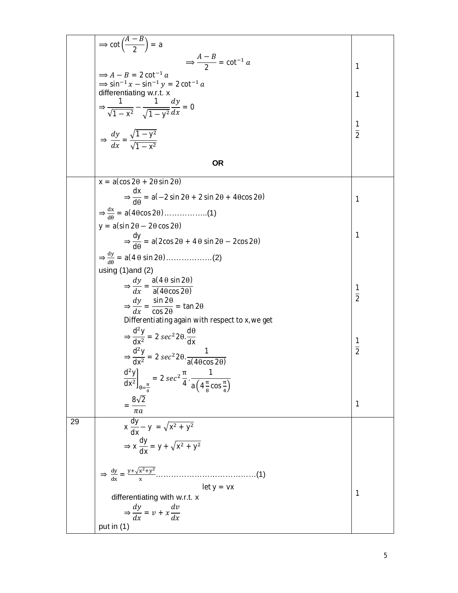$$
\Rightarrow \cot\left(\frac{A-B}{2}\right) = a
$$
\n
$$
\Rightarrow A-B = 2 \cot^{-1} a
$$
\n
$$
\Rightarrow \sin^{-1} x = \sin^{-1} y = 2 \cot^{-1} a
$$
\n
$$
\Rightarrow \frac{\sin^{-1} x}{\sin \theta} = \sec^{-1} a
$$
\n
$$
\Rightarrow \frac{1}{\sqrt{1-x^2}} = \frac{1}{\sqrt{1-y^2}} \frac{dy}{dx} = 0
$$
\n
$$
\Rightarrow \frac{dy}{dx} = \frac{\sqrt{1-y^2}}{\sqrt{1-x^2}}
$$
\nOR\n
$$
x = a(\cos 2\theta + 2\theta \sin 2\theta)
$$
\n
$$
\Rightarrow \frac{dx}{d\theta} = a(-2 \sin 2\theta + 2 \sin 2\theta + 4\theta \cos 2\theta)
$$
\n
$$
\Rightarrow \frac{dx}{d\theta} = a(-2 \sin 2\theta + 2 \sin 2\theta + 4\theta \cos 2\theta)
$$
\n
$$
\Rightarrow \frac{dy}{d\theta} = a(2 \cos 2\theta + 2 \sin 2\theta - 2 \cos 2\theta)
$$
\n
$$
\Rightarrow \frac{dy}{d\theta} = a(2 \cos 2\theta + 4\theta \sin 2\theta - 2 \cos 2\theta)
$$
\n
$$
\Rightarrow \frac{dy}{d\theta} = a(4\theta \sin 2\theta)
$$
\n
$$
\Rightarrow \frac{dy}{dx} = \frac{a(4\theta \sin 2\theta)}{a(4\theta \cos 2\theta)}
$$
\n
$$
\Rightarrow \frac{dy}{dx} = \frac{a(4\theta \sin 2\theta)}{a(4\theta \cos 2\theta)}
$$
\n
$$
\Rightarrow \frac{d^2y}{dx^2} = 2 \sec^2 2\theta \frac{d\theta}{dx}
$$
\n
$$
\Rightarrow \frac{d^2y}{dx^2} = 2 \sec^2 2\theta \frac{1}{\cos 2\theta}
$$
\n
$$
\Rightarrow \frac{d^2y}{dx^2} = 2 \sec^2 \frac{\theta}{4} \cdot \frac{1}{a(4\frac{\pi}{6} \cos \frac{\pi}{a})}
$$
\n
$$
\Rightarrow \frac{d^2y}{dx} = 2 \sec^2 \frac{\pi}{4} \cdot \frac{1}{a(4\frac{\pi}{6} \cos \frac{\pi}{a})}
$$
\n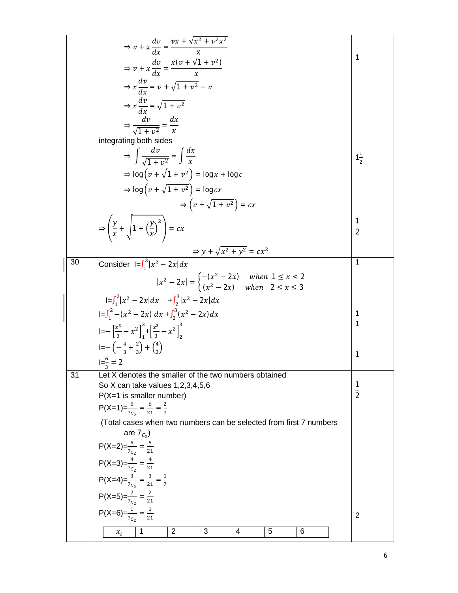|    | $\Rightarrow v + x \frac{dv}{dx} = \frac{vx + \sqrt{x^2 + v^2 x^2}}{x}$                                        |                     |
|----|----------------------------------------------------------------------------------------------------------------|---------------------|
|    |                                                                                                                | 1                   |
|    | $\Rightarrow v + x \frac{dv}{dx} = \frac{x(v + \sqrt{1 + v^2})}{r}$                                            |                     |
|    | $\Rightarrow x \frac{dv}{dx} = v + \sqrt{1 + v^2} - v$                                                         |                     |
|    | $\Rightarrow x \frac{dv}{dx} = \sqrt{1 + v^2}$                                                                 |                     |
|    | $\Rightarrow \frac{dv}{\sqrt{1 + v^2}} = \frac{dx}{x}$                                                         |                     |
|    |                                                                                                                |                     |
|    | integrating both sides                                                                                         |                     |
|    | $\Rightarrow \int \frac{dv}{\sqrt{1+u^2}} = \int \frac{dx}{x}$                                                 | $1\frac{1}{2}$      |
|    | $\Rightarrow$ log $\left(v + \sqrt{1 + v^2}\right)$ = log x + log c                                            |                     |
|    | $\Rightarrow$ log $\left(v + \sqrt{1 + v^2}\right)$ = log cx                                                   |                     |
|    | $\Rightarrow \left( v + \sqrt{1 + v^2} \right) = cx$                                                           |                     |
|    | $\Rightarrow \left(\frac{y}{x} + \sqrt{1 + \left(\frac{y}{x}\right)^2}\right) = cx$                            | $rac{1}{2}$         |
|    |                                                                                                                |                     |
|    | $\Rightarrow$ y + $\sqrt{x^2 + y^2} = cx^2$                                                                    |                     |
| 30 | Consider $I = \int_1^3  x^2 - 2x  dx$                                                                          | 1                   |
|    | $ x^2 - 2x  = \begin{cases} -(x^2 - 2x) & when \ 1 \le x < 2 \\ (x^2 - 2x) & when \ 2 \le x \le 3 \end{cases}$ |                     |
|    | $I = \int_1^2  x^2 - 2x  dx$ $+ \int_2^3  x^2 - 2x  dx$                                                        |                     |
|    | $I = \int_1^2 -(x^2 - 2x) dx + \int_2^3 (x^2 - 2x) dx$                                                         | 1                   |
|    | $I=-\left[\frac{x^3}{3}-x^2\right]_1^2+\left[\frac{x^3}{3}-x^2\right]_2^3$                                     | 1                   |
|    | $I=-\left(-\frac{4}{3}+\frac{2}{3}\right)+\left(\frac{4}{3}\right)$                                            |                     |
|    | $I=\frac{6}{3}=2$                                                                                              | 1                   |
| 31 | Let X denotes the smaller of the two numbers obtained                                                          |                     |
|    | So X can take values 1,2,3,4,5,6                                                                               | 1<br>$\overline{2}$ |
|    | $P(X=1$ is smaller number)<br>$P(X=1)=\frac{6}{7c_2}=\frac{6}{21}=\frac{2}{7}$                                 |                     |
|    | (Total cases when two numbers can be selected from first 7 numbers                                             |                     |
|    | are $7_{C_2}$ )                                                                                                |                     |
|    | $P(X=2)=\frac{5}{7_{C_2}}=\frac{5}{21}$                                                                        |                     |
|    | $P(X=3)=\frac{4}{7_{C_2}}=\frac{4}{21}$                                                                        |                     |
|    | $P(X=4) = \frac{3}{7_{C_2}} = \frac{3}{21} = \frac{1}{7}$                                                      |                     |
|    |                                                                                                                |                     |
|    | P(X=5)= $\frac{2}{7_{C_2}} = \frac{2}{21}$<br>P(X=6)= $\frac{1}{7_{C_2}} = \frac{1}{21}$                       | 2                   |
|    | $\mathbf{1}$<br>2<br>3<br>4<br>5<br>6<br>$x_i$                                                                 |                     |
|    |                                                                                                                |                     |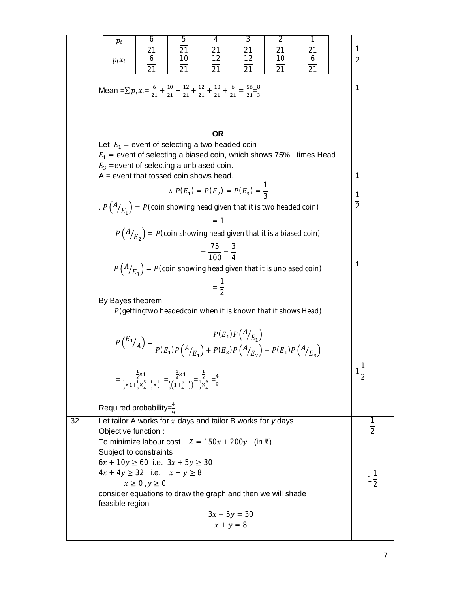| 6<br>5<br>4<br>$p_i$<br>$\overline{21}$<br>$\overline{21}$<br>21<br>$\overline{12}$<br>10<br>6<br>$p_i x_i$<br>$\overline{21}$<br>$\overline{21}$<br>21                                                                                                                         | 3<br>2<br>L.<br>$\overline{21}$<br>$\overline{21}$<br>$\overline{21}$<br>$\overline{2}$<br>$\overline{12}$<br>$\overline{6}$<br>10<br>$\overline{21}$<br>21<br>21 |
|---------------------------------------------------------------------------------------------------------------------------------------------------------------------------------------------------------------------------------------------------------------------------------|-------------------------------------------------------------------------------------------------------------------------------------------------------------------|
| Mean = $\sum p_i x_i = \frac{6}{21} + \frac{10}{21} + \frac{12}{21} + \frac{12}{21} + \frac{10}{21} + \frac{6}{21} = \frac{56}{21} = \frac{8}{3}$                                                                                                                               | 1                                                                                                                                                                 |
|                                                                                                                                                                                                                                                                                 | <b>OR</b>                                                                                                                                                         |
| Let $E_1$ = event of selecting a two headed coin<br>$E_1$ = event of selecting a biased coin, which shows 75% times Head<br>$E_3$ =event of selecting a unbiased coin.                                                                                                          |                                                                                                                                                                   |
| $A = event$ that tossed coin shows head.                                                                                                                                                                                                                                        | 1                                                                                                                                                                 |
| . $P(A/E1) = P$ (coin showing head given that it is two headed coin)                                                                                                                                                                                                            | $\therefore$ $P(E_1) = P(E_2) = P(E_3) = \frac{1}{3}$<br>$\frac{1}{2}$                                                                                            |
|                                                                                                                                                                                                                                                                                 | $= 1$                                                                                                                                                             |
|                                                                                                                                                                                                                                                                                 | $P(A/E_2) = P$ (coin showing head given that it is a biased coin)                                                                                                 |
|                                                                                                                                                                                                                                                                                 | $=\frac{75}{100}=\frac{3}{4}$<br>1<br>$P(A/E_{3}) = P$ (coin showing head given that it is unbiased coin)                                                         |
| By Bayes theorem                                                                                                                                                                                                                                                                | $=\frac{1}{2}$                                                                                                                                                    |
|                                                                                                                                                                                                                                                                                 | P (gettingtwo headedcoin when it is known that it shows Head)                                                                                                     |
|                                                                                                                                                                                                                                                                                 | $P(E_1)P(A/E_1) = \frac{P(E_1)P(A/E_1)}{P(E_1)P(A/E_1) + P(E_2)P(A/E_2) + P(E_1)P(A/E_3)}$                                                                        |
| $=\frac{\frac{1}{3} \times 1}{\frac{1}{3} \times 1 + \frac{1}{3} \times \frac{3}{3} + \frac{1}{3} \times \frac{1}{3}} = \frac{\frac{1}{3} \times 1}{\frac{1}{3} \left(1 + \frac{3}{3} + \frac{1}{3}\right)} = \frac{\frac{1}{3}}{\frac{1}{3} \times \frac{9}{4}} = \frac{4}{9}$ | 1<br>$\frac{1}{2}$                                                                                                                                                |
| Required probability= $\frac{4}{9}$                                                                                                                                                                                                                                             |                                                                                                                                                                   |
| 32<br>Let tailor A works for $x$ days and tailor B works for $y$ days<br>Objective function :<br>To minimize labour cost $Z = 150x + 200y$ (in ₹)                                                                                                                               | 1<br>$\overline{2}$                                                                                                                                               |
| Subject to constraints<br>$6x + 10y \ge 60$ i.e. $3x + 5y \ge 30$                                                                                                                                                                                                               |                                                                                                                                                                   |
| $4x + 4y \ge 32$ i.e. $x + y \ge 8$<br>$x \geq 0$ , $y \geq 0$                                                                                                                                                                                                                  | $1\frac{1}{2}$                                                                                                                                                    |
| consider equations to draw the graph and then we will shade<br>feasible region                                                                                                                                                                                                  |                                                                                                                                                                   |
|                                                                                                                                                                                                                                                                                 | $3x + 5y = 30$<br>$x + y = 8$                                                                                                                                     |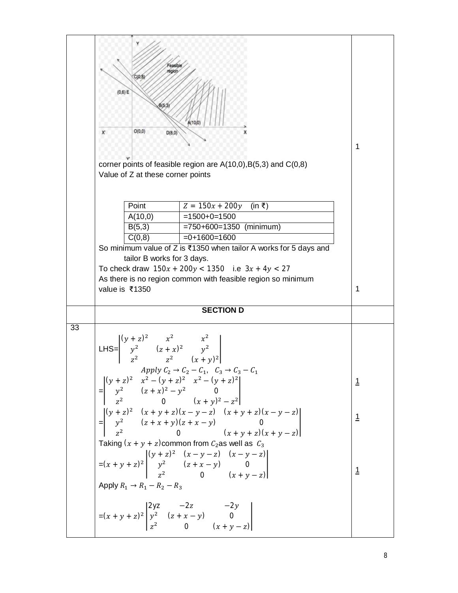|    | easible<br>egion<br>C(0, 8)<br>(0,6) E<br>B(5,3)<br>A(10/0)<br>O(0,0)<br>D(8,0)<br>х                                                                                                                                                                                                                             |                       |
|----|------------------------------------------------------------------------------------------------------------------------------------------------------------------------------------------------------------------------------------------------------------------------------------------------------------------|-----------------------|
|    | corner points of feasible region are $A(10,0),B(5,3)$ and $C(0,8)$                                                                                                                                                                                                                                               | 1                     |
|    | Value of Z at these corner points<br>Point<br>$Z = 150x + 200y$ (in ₹)<br>A(10,0)<br>$=1500+0=1500$<br>$= 750 + 600 = 1350$ (minimum)<br>B(5,3)<br>C(0,8)<br>$=0+1600=1600$<br>So minimum value of Z is ₹1350 when tailor A works for 5 days and<br>tailor B works for 3 days.                                   |                       |
|    | To check draw $150x + 200y < 1350$ i.e $3x + 4y < 27$<br>As there is no region common with feasible region so minimum<br>value is ₹1350                                                                                                                                                                          | 1                     |
|    | <b>SECTION D</b>                                                                                                                                                                                                                                                                                                 |                       |
| 33 | LHS= $\begin{vmatrix} (y + z)^2 & x^2 & x^2 \\ y^2 & (z + x)^2 & y^2 \\ z^2 & z^2 & (x + y)^2 \end{vmatrix}$<br>Apply $C_2 \rightarrow C_2 - C_1$ , $C_3 \rightarrow C_3 - C_1$                                                                                                                                  |                       |
|    | $\begin{bmatrix}\n(y + z)^2 & x^2 - (y + z)^2 & x^2 - (y + z)^2 \\ y^2 & (z + x)^2 - y^2 & 0 \\ z^2 & 0 & (x + y)^2 - z^2\n\end{bmatrix}$ $=\begin{bmatrix}\n(y + z)^2 & (x + y + z)(x - y - z) & (x + y + z)(x - y - z) \\ y^2 & (z + x + y)(z + x - y) & 0 \\ z^2 & 0 & (x + y + z)(x + y - z)\n\end{bmatrix}$ |                       |
|    | Taking $(x + y + z)$ common from $C_2$ as well as $C_3$<br>= $(x + y + z)^2$ $\begin{vmatrix} (y + z)^2 & (x - y - z) & (x - y - z) \\ y^2 & (z + x - y) & 0 \\ z^2 & 0 & (x + y - z) \end{vmatrix}$                                                                                                             | <u>1</u><br><u> 1</u> |
|    | Apply $R_1 \rightarrow R_1 - R_2 - R_3$<br>$=(x + y + z)^2 \begin{vmatrix} 2yz & -2z & -2y \\ y^2 & (z + x - y) & 0 \\ z^2 & 0 & (x + y - z) \end{vmatrix}$                                                                                                                                                      |                       |
|    |                                                                                                                                                                                                                                                                                                                  |                       |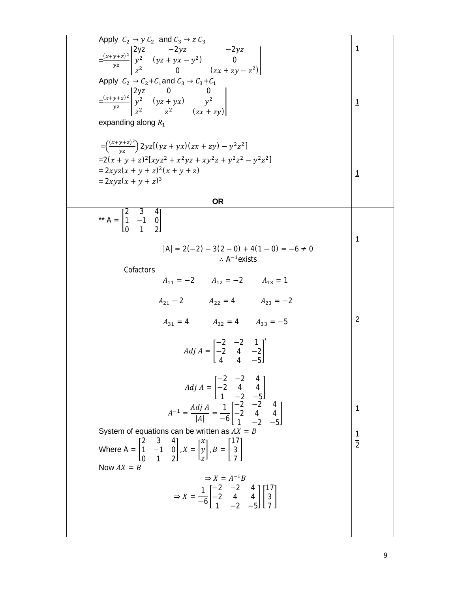| Apply $C_2 \rightarrow y C_2$ and $C_3 \rightarrow z C_3$<br>$=\frac{(x+y+z)^2}{yz}\begin{vmatrix} 2yz & -2yz & -2yz \\ y^2 & (yz+yx-y^2) & 0 \\ z^2 & 0 & (zx+zy-z^2) \end{vmatrix}$<br>Apply $C_2 \rightarrow C_2 + C_1$ and $C_3 \rightarrow C_3 + C_1$ | $\overline{1}$                 |
|------------------------------------------------------------------------------------------------------------------------------------------------------------------------------------------------------------------------------------------------------------|--------------------------------|
| $=\frac{(x+y+z)^2}{yz}\begin{vmatrix} 2yz & 0 & 0 \\ y^2 & (yz+yx) & y^2 \\ z^2 & z^2 & (zx+zy) \end{vmatrix}$<br>expanding along $R_1$                                                                                                                    | $\overline{1}$                 |
| $=\left(\frac{(x+y+z)^2}{yz}\right)2yz[(yz+yx)(zx+zy)-y^2z^2]$<br>$=2(x + y + z)^{2}[xyz^{2} + x^{2}yz + xy^{2}z + y^{2}z^{2} - y^{2}z^{2}]$<br>$= 2xyz(x + y + z)^{2}(x + y + z)$<br>$= 2xyz(x + y + z)^3$                                                | $\mathbf{1}$                   |
| <b>OR</b>                                                                                                                                                                                                                                                  |                                |
| ** A = $\begin{bmatrix} 2 & 3 & 4 \\ 1 & -1 & 0 \\ 0 & 2 & 0 \end{bmatrix}$<br>$ A  = 2(-2) - 3(2 - 0) + 4(1 - 0) = -6 \neq 0$<br>$\therefore$ A <sup>-1</sup> exists                                                                                      | $\mathbf 1$                    |
| Cofactors<br>$A_{11} = -2$ $A_{12} = -2$ $A_{13} = 1$                                                                                                                                                                                                      |                                |
|                                                                                                                                                                                                                                                            |                                |
| $A_{21} - 2$ $A_{22} = 4$ $A_{23} = -2$                                                                                                                                                                                                                    |                                |
| $A_{31} = 4$ $A_{32} = 4$ $A_{33} = -5$                                                                                                                                                                                                                    | $\overline{2}$                 |
| $Adj A = \begin{bmatrix} -2 & -2 & 1 \\ -2 & 4 & -2 \end{bmatrix}^T$                                                                                                                                                                                       |                                |
| $Adj A = \begin{bmatrix} -2 & -2 & 4 \\ -2 & 4 & 4 \\ 1 & -2 & -5 \end{bmatrix}$                                                                                                                                                                           |                                |
| $A^{-1} = \frac{Adj A}{ A } = \frac{1}{-6} \begin{bmatrix} -2 & -2 & 4 \ -2 & 4 & 4 \ 1 & 2 & 5 \end{bmatrix}$                                                                                                                                             | 1                              |
|                                                                                                                                                                                                                                                            |                                |
| System of equations can be written as $AX = B$                                                                                                                                                                                                             | $\mathbf{1}$<br>$\overline{2}$ |
| Where A = $\begin{bmatrix} 2 & 3 & 4 \\ 1 & -1 & 0 \\ 0 & 1 & 2 \end{bmatrix}$ , X = $\begin{bmatrix} x \\ y \\ z \end{bmatrix}$ , B = $\begin{bmatrix} 17 \\ 3 \\ 3 \end{bmatrix}$                                                                        |                                |
| Now $AX = B$<br>$\Rightarrow X = A^{-1}B$                                                                                                                                                                                                                  |                                |
| $\Rightarrow X = \frac{1}{-6} \begin{bmatrix} -2 & -2 & 4 \\ -2 & 4 & 4 \\ 1 & -2 & -5 \end{bmatrix} \begin{bmatrix} 17 \\ 3 \\ 3 \end{bmatrix}$                                                                                                           |                                |
|                                                                                                                                                                                                                                                            |                                |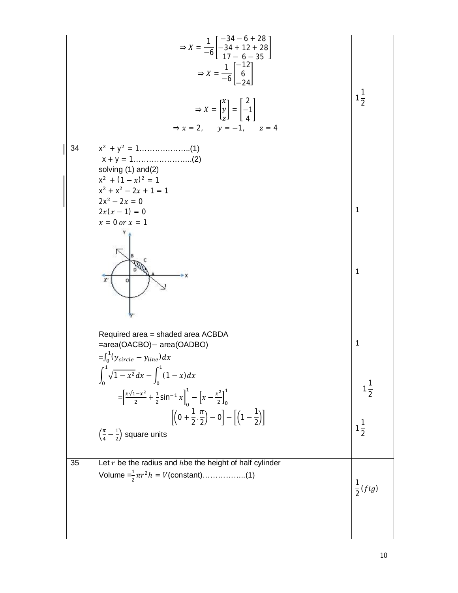|    | $\Rightarrow X = \frac{1}{-6} \begin{bmatrix} -34 - 6 + 28 \\ -34 + 12 + 28 \\ 17 - 6 - 35 \end{bmatrix}$                                            |                    |
|----|------------------------------------------------------------------------------------------------------------------------------------------------------|--------------------|
|    | $\Rightarrow X = \frac{1}{-6} \begin{bmatrix} -12 \\ 6 \\ 24 \end{bmatrix}$                                                                          |                    |
|    | $\Rightarrow X = \begin{bmatrix} x \\ y \\ z \end{bmatrix} = \begin{bmatrix} 2 \\ -1 \\ 4 \end{bmatrix}$<br>$\Rightarrow$ x = 2, y = -1, z = 4       | $1\frac{1}{2}$     |
|    |                                                                                                                                                      |                    |
| 34 | solving (1) and(2)<br>$x^2$ + $(1-x)^2$ = 1                                                                                                          |                    |
|    | $x^2 + x^2 - 2x + 1 = 1$<br>$2x^2 - 2x = 0$<br>$2x(x-1) = 0$                                                                                         | $\mathbf{1}$       |
|    | $x = 0$ or $x = 1$                                                                                                                                   |                    |
|    |                                                                                                                                                      | 1                  |
|    | Required area = shaded area ACBDA<br>=area(OACBO)- area(OADBO)<br>$=\int_0^1 (y_{circle} - y_{line}) dx$                                             | 1                  |
|    | $\int_0^1 \sqrt{1-x^2} dx - \int_0^1 (1-x) dx$<br>$=\left[\frac{x\sqrt{1-x^2}}{2}+\frac{1}{2}\sin^{-1}x\right]_0^1-\left[x-\frac{x^2}{2}\right]_0^1$ |                    |
|    | $\left[\left(0+\frac{1}{2},\frac{\pi}{2}\right)-0\right]-\left[\left(1-\frac{1}{2}\right)\right]$                                                    |                    |
|    | $\left(\frac{\pi}{4}-\frac{1}{2}\right)$ square units                                                                                                | $1\frac{1}{2}$     |
| 35 | Let $r$ be the radius and $h$ be the height of half cylinder<br>Volume $=\frac{1}{2}\pi r^2 h = V$ (constant)(1)                                     | $\frac{1}{2}(fig)$ |
|    |                                                                                                                                                      |                    |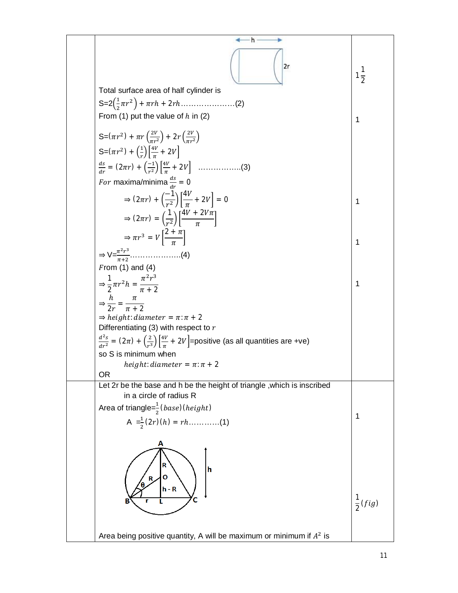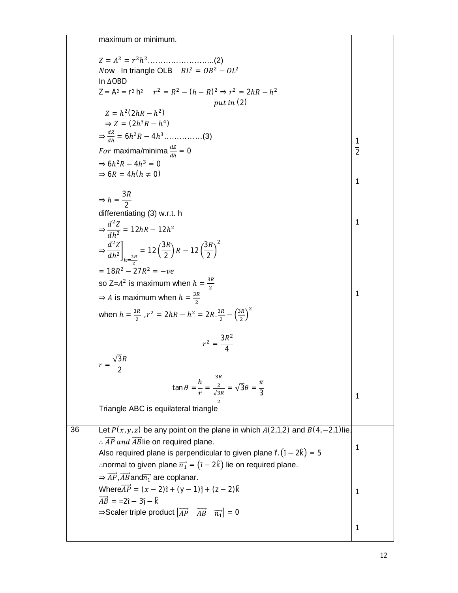|    | maximum or minimum.                                                                                                                      |                |
|----|------------------------------------------------------------------------------------------------------------------------------------------|----------------|
|    |                                                                                                                                          |                |
|    | Now In triangle OLB $BL^2 = OB^2 - OL^2$                                                                                                 |                |
|    | In ∆OBD                                                                                                                                  |                |
|    | $Z = A^2 = r^2 h^2$ $r^2 = R^2 - (h - R)^2 \Rightarrow r^2 = 2hR - h^2$                                                                  |                |
|    | put in $(2)$                                                                                                                             |                |
|    | $Z = h^2(2hR - h^2)$                                                                                                                     |                |
|    | $\Rightarrow Z = (2h^3R - h^4)$                                                                                                          |                |
|    | $\Rightarrow \frac{dZ}{dh} = 6h^2R - 4h^3 \dots (3)$                                                                                     | 1              |
|    | For maxima/minima $\frac{dZ}{dt} = 0$                                                                                                    | $\overline{2}$ |
|    | $\Rightarrow 6h^2R - 4h^3 = 0$                                                                                                           |                |
|    | $\Rightarrow$ 6R = 4h(h $\neq$ 0)                                                                                                        | 1              |
|    |                                                                                                                                          |                |
|    | $\Rightarrow h = \frac{3R}{2}$                                                                                                           |                |
|    | differentiating (3) w.r.t. h                                                                                                             |                |
|    | $\Rightarrow \frac{d^2Z}{dh^2} = 12hR - 12h^2$                                                                                           | 1              |
|    |                                                                                                                                          |                |
|    | $\Rightarrow \frac{d^2Z}{dh^2}\bigg]_{h=\frac{3R}{2}} = 12\left(\frac{3R}{2}\right)R - 12\left(\frac{3R}{2}\right)^2$                    |                |
|    |                                                                                                                                          |                |
|    | $= 18R^2 - 27R^2 = -ve$                                                                                                                  |                |
|    | so Z= $A^2$ is maximum when $h = \frac{3R}{2}$                                                                                           | 1              |
|    | $\Rightarrow$ A is maximum when $h = \frac{3R}{2}$                                                                                       |                |
|    | when $h = \frac{3R}{2}$ , $r^2 = 2hR - h^2 = 2R \cdot \frac{3R}{2} - \left(\frac{3R}{2}\right)^2$                                        |                |
|    | $r^2 = \frac{3R^2}{4}$                                                                                                                   |                |
|    |                                                                                                                                          |                |
|    | 2                                                                                                                                        |                |
|    |                                                                                                                                          |                |
|    | $\tan \theta = \frac{h}{r} = \frac{\frac{3R}{2}}{\sqrt{3}R} = \sqrt{3}\theta = \frac{\pi}{3}$                                            | 1              |
|    |                                                                                                                                          |                |
|    | Triangle ABC is equilateral triangle                                                                                                     |                |
| 36 | Let $P(x, y, z)$ be any point on the plane in which $A(2,1,2)$ and $B(4, -2, 1)$ lie.                                                    |                |
|    | $\therefore$ $\overrightarrow{AP}$ and $\overrightarrow{AB}$ lie on required plane.                                                      |                |
|    | Also required plane is perpendicular to given plane $\vec{r} \cdot (\hat{i} - 2\hat{k}) = 5$                                             | 1              |
|    | : normal to given plane $\overrightarrow{n_1} = (1 - 2k)$ lie on required plane.                                                         |                |
|    | $\Rightarrow \overrightarrow{AP}, \overrightarrow{AB}$ and $\overrightarrow{n_1}$ are coplanar.                                          |                |
|    | Where $\overrightarrow{AP} = (x - 2)\hat{i} + (y - 1)\hat{j} + (z - 2)\hat{k}$                                                           | 1              |
|    | $\overrightarrow{AB}$ = =2î - 3ĵ - $\hat{k}$                                                                                             |                |
|    | $\Rightarrow$ Scaler triple product $\begin{bmatrix} \overrightarrow{AP} & \overrightarrow{AB} & \overrightarrow{n_1} \end{bmatrix} = 0$ |                |
|    |                                                                                                                                          |                |